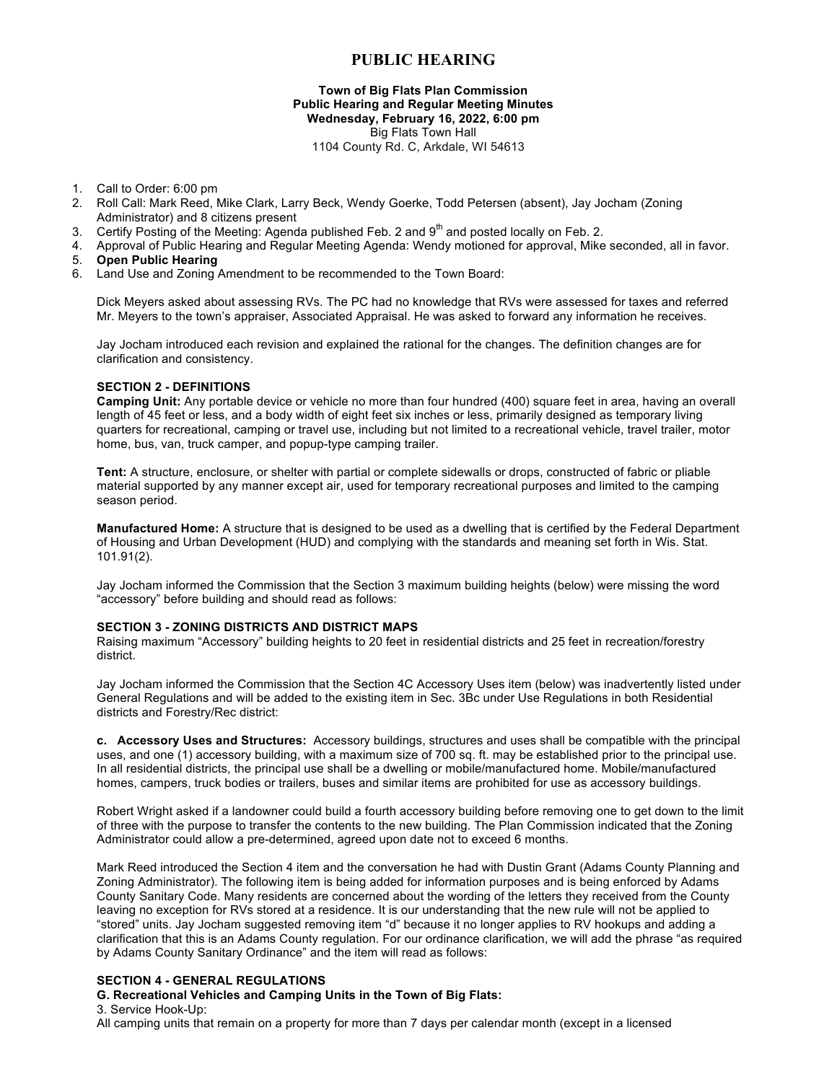# **PUBLIC HEARING**

### **Town of Big Flats Plan Commission Public Hearing and Regular Meeting Minutes Wednesday, February 16, 2022, 6:00 pm** Big Flats Town Hall 1104 County Rd. C, Arkdale, WI 54613

- 1. Call to Order: 6:00 pm
- 2. Roll Call: Mark Reed, Mike Clark, Larry Beck, Wendy Goerke, Todd Petersen (absent), Jay Jocham (Zoning Administrator) and 8 citizens present
- 3. Certify Posting of the Meeting: Agenda published Feb. 2 and  $9<sup>th</sup>$  and posted locally on Feb. 2.
- 4. Approval of Public Hearing and Regular Meeting Agenda: Wendy motioned for approval, Mike seconded, all in favor.
- 5. **Open Public Hearing**
- 6. Land Use and Zoning Amendment to be recommended to the Town Board:

Dick Meyers asked about assessing RVs. The PC had no knowledge that RVs were assessed for taxes and referred Mr. Meyers to the town's appraiser, Associated Appraisal. He was asked to forward any information he receives.

Jay Jocham introduced each revision and explained the rational for the changes. The definition changes are for clarification and consistency.

# **SECTION 2 - DEFINITIONS**

**Camping Unit:** Any portable device or vehicle no more than four hundred (400) square feet in area, having an overall length of 45 feet or less, and a body width of eight feet six inches or less, primarily designed as temporary living quarters for recreational, camping or travel use, including but not limited to a recreational vehicle, travel trailer, motor home, bus, van, truck camper, and popup-type camping trailer.

**Tent:** A structure, enclosure, or shelter with partial or complete sidewalls or drops, constructed of fabric or pliable material supported by any manner except air, used for temporary recreational purposes and limited to the camping season period.

**Manufactured Home:** A structure that is designed to be used as a dwelling that is certified by the Federal Department of Housing and Urban Development (HUD) and complying with the standards and meaning set forth in Wis. Stat. 101.91(2).

Jay Jocham informed the Commission that the Section 3 maximum building heights (below) were missing the word "accessory" before building and should read as follows:

#### **SECTION 3 - ZONING DISTRICTS AND DISTRICT MAPS**

Raising maximum "Accessory" building heights to 20 feet in residential districts and 25 feet in recreation/forestry district.

Jay Jocham informed the Commission that the Section 4C Accessory Uses item (below) was inadvertently listed under General Regulations and will be added to the existing item in Sec. 3Bc under Use Regulations in both Residential districts and Forestry/Rec district:

**c. Accessory Uses and Structures:** Accessory buildings, structures and uses shall be compatible with the principal uses, and one (1) accessory building, with a maximum size of 700 sq. ft. may be established prior to the principal use. In all residential districts, the principal use shall be a dwelling or mobile/manufactured home. Mobile/manufactured homes, campers, truck bodies or trailers, buses and similar items are prohibited for use as accessory buildings.

Robert Wright asked if a landowner could build a fourth accessory building before removing one to get down to the limit of three with the purpose to transfer the contents to the new building. The Plan Commission indicated that the Zoning Administrator could allow a pre-determined, agreed upon date not to exceed 6 months.

Mark Reed introduced the Section 4 item and the conversation he had with Dustin Grant (Adams County Planning and Zoning Administrator). The following item is being added for information purposes and is being enforced by Adams County Sanitary Code. Many residents are concerned about the wording of the letters they received from the County leaving no exception for RVs stored at a residence. It is our understanding that the new rule will not be applied to "stored" units. Jay Jocham suggested removing item "d" because it no longer applies to RV hookups and adding a clarification that this is an Adams County regulation. For our ordinance clarification, we will add the phrase "as required by Adams County Sanitary Ordinance" and the item will read as follows:

#### **SECTION 4 - GENERAL REGULATIONS**

#### **G. Recreational Vehicles and Camping Units in the Town of Big Flats:**

3. Service Hook-Up:

All camping units that remain on a property for more than 7 days per calendar month (except in a licensed